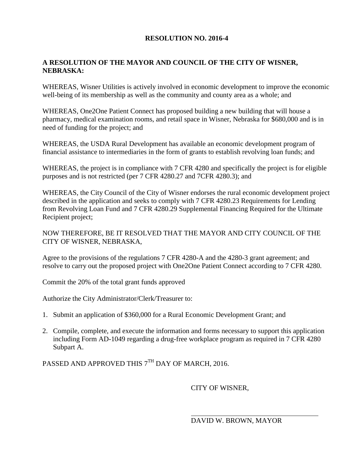## **RESOLUTION NO. 2016-4**

## **A RESOLUTION OF THE MAYOR AND COUNCIL OF THE CITY OF WISNER, NEBRASKA:**

WHEREAS, Wisner Utilities is actively involved in economic development to improve the economic well-being of its membership as well as the community and county area as a whole; and

WHEREAS, One2One Patient Connect has proposed building a new building that will house a pharmacy, medical examination rooms, and retail space in Wisner, Nebraska for \$680,000 and is in need of funding for the project; and

WHEREAS, the USDA Rural Development has available an economic development program of financial assistance to intermediaries in the form of grants to establish revolving loan funds; and

WHEREAS, the project is in compliance with 7 CFR 4280 and specifically the project is for eligible purposes and is not restricted (per 7 CFR 4280.27 and 7CFR 4280.3); and

WHEREAS, the City Council of the City of Wisner endorses the rural economic development project described in the application and seeks to comply with 7 CFR 4280.23 Requirements for Lending from Revolving Loan Fund and 7 CFR 4280.29 Supplemental Financing Required for the Ultimate Recipient project;

NOW THEREFORE, BE IT RESOLVED THAT THE MAYOR AND CITY COUNCIL OF THE CITY OF WISNER, NEBRASKA,

Agree to the provisions of the regulations 7 CFR 4280-A and the 4280-3 grant agreement; and resolve to carry out the proposed project with One2One Patient Connect according to 7 CFR 4280.

Commit the 20% of the total grant funds approved

Authorize the City Administrator/Clerk/Treasurer to:

- 1. Submit an application of \$360,000 for a Rural Economic Development Grant; and
- 2. Compile, complete, and execute the information and forms necessary to support this application including Form AD-1049 regarding a drug-free workplace program as required in 7 CFR 4280 Subpart A.

PASSED AND APPROVED THIS  $7^{\text{TH}}$  DAY OF MARCH, 2016.

## CITY OF WISNER,